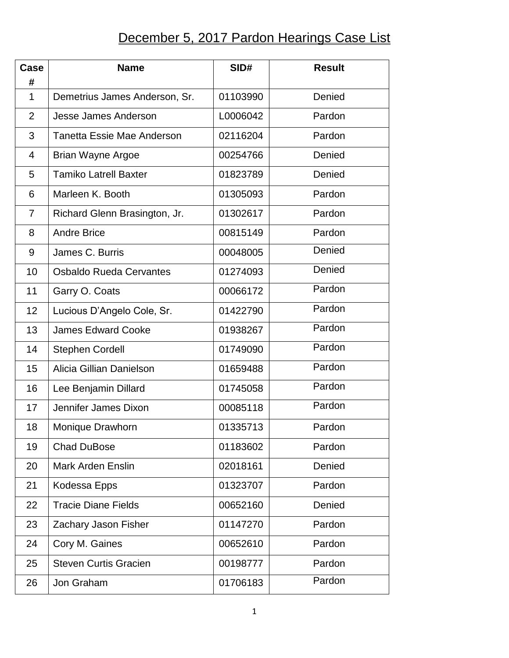## December 5, 2017 Pardon Hearings Case List

| Case<br>#      | <b>Name</b>                       | SID#     | <b>Result</b> |
|----------------|-----------------------------------|----------|---------------|
| 1              | Demetrius James Anderson, Sr.     | 01103990 | Denied        |
| $\overline{2}$ | <b>Jesse James Anderson</b>       | L0006042 | Pardon        |
| 3              | <b>Tanetta Essie Mae Anderson</b> | 02116204 | Pardon        |
| 4              | <b>Brian Wayne Argoe</b>          | 00254766 | Denied        |
| 5              | <b>Tamiko Latrell Baxter</b>      | 01823789 | Denied        |
| 6              | Marleen K. Booth                  | 01305093 | Pardon        |
| 7              | Richard Glenn Brasington, Jr.     | 01302617 | Pardon        |
| 8              | <b>Andre Brice</b>                | 00815149 | Pardon        |
| 9              | James C. Burris                   | 00048005 | Denied        |
| 10             | <b>Osbaldo Rueda Cervantes</b>    | 01274093 | Denied        |
| 11             | Garry O. Coats                    | 00066172 | Pardon        |
| 12             | Lucious D'Angelo Cole, Sr.        | 01422790 | Pardon        |
| 13             | <b>James Edward Cooke</b>         | 01938267 | Pardon        |
| 14             | <b>Stephen Cordell</b>            | 01749090 | Pardon        |
| 15             | Alicia Gillian Danielson          | 01659488 | Pardon        |
| 16             | Lee Benjamin Dillard              | 01745058 | Pardon        |
| 17             | Jennifer James Dixon              | 00085118 | Pardon        |
| 18             | Monique Drawhorn                  | 01335713 | Pardon        |
| 19             | <b>Chad DuBose</b>                | 01183602 | Pardon        |
| 20             | <b>Mark Arden Enslin</b>          | 02018161 | Denied        |
| 21             | Kodessa Epps                      | 01323707 | Pardon        |
| 22             | <b>Tracie Diane Fields</b>        | 00652160 | Denied        |
| 23             | Zachary Jason Fisher              | 01147270 | Pardon        |
| 24             | Cory M. Gaines                    | 00652610 | Pardon        |
| 25             | <b>Steven Curtis Gracien</b>      | 00198777 | Pardon        |
| 26             | Jon Graham                        | 01706183 | Pardon        |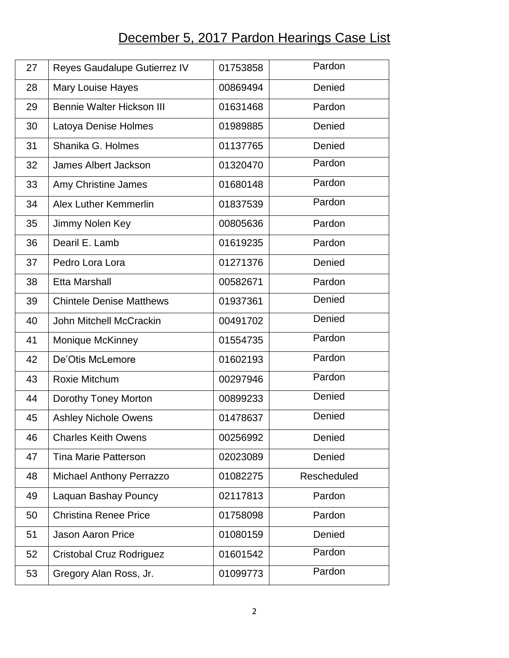## December 5, 2017 Pardon Hearings Case List

| 27 | Reyes Gaudalupe Gutierrez IV     | 01753858 | Pardon      |
|----|----------------------------------|----------|-------------|
| 28 | <b>Mary Louise Hayes</b>         | 00869494 | Denied      |
| 29 | <b>Bennie Walter Hickson III</b> | 01631468 | Pardon      |
| 30 | Latoya Denise Holmes             | 01989885 | Denied      |
| 31 | Shanika G. Holmes                | 01137765 | Denied      |
| 32 | <b>James Albert Jackson</b>      | 01320470 | Pardon      |
| 33 | Amy Christine James              | 01680148 | Pardon      |
| 34 | <b>Alex Luther Kemmerlin</b>     | 01837539 | Pardon      |
| 35 | Jimmy Nolen Key                  | 00805636 | Pardon      |
| 36 | Dearil E. Lamb                   | 01619235 | Pardon      |
| 37 | Pedro Lora Lora                  | 01271376 | Denied      |
| 38 | <b>Etta Marshall</b>             | 00582671 | Pardon      |
| 39 | <b>Chintele Denise Matthews</b>  | 01937361 | Denied      |
| 40 | <b>John Mitchell McCrackin</b>   | 00491702 | Denied      |
| 41 | <b>Monique McKinney</b>          | 01554735 | Pardon      |
| 42 | De'Otis McLemore                 | 01602193 | Pardon      |
| 43 | Roxie Mitchum                    | 00297946 | Pardon      |
| 44 | Dorothy Toney Morton             | 00899233 | Denied      |
| 45 | <b>Ashley Nichole Owens</b>      | 01478637 | Denied      |
| 46 | <b>Charles Keith Owens</b>       | 00256992 | Denied      |
| 47 | <b>Tina Marie Patterson</b>      | 02023089 | Denied      |
| 48 | <b>Michael Anthony Perrazzo</b>  | 01082275 | Rescheduled |
| 49 | Laquan Bashay Pouncy             | 02117813 | Pardon      |
| 50 | <b>Christina Renee Price</b>     | 01758098 | Pardon      |
| 51 | <b>Jason Aaron Price</b>         | 01080159 | Denied      |
| 52 | Cristobal Cruz Rodriguez         | 01601542 | Pardon      |
| 53 | Gregory Alan Ross, Jr.           | 01099773 | Pardon      |